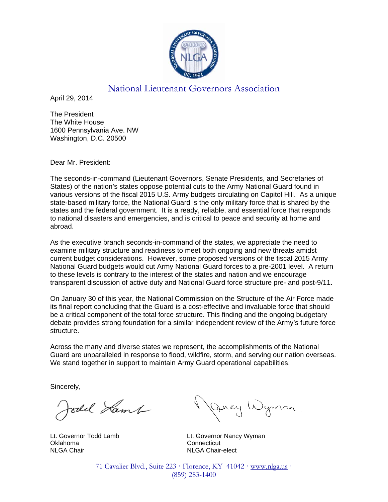

## National Lieutenant Governors Association

April 29, 2014

The President The White House 1600 Pennsylvania Ave. NW Washington, D.C. 20500

Dear Mr. President:

The seconds-in-command (Lieutenant Governors, Senate Presidents, and Secretaries of States) of the nation's states oppose potential cuts to the Army National Guard found in various versions of the fiscal 2015 U.S. Army budgets circulating on Capitol Hill. As a unique state-based military force, the National Guard is the only military force that is shared by the states and the federal government. It is a ready, reliable, and essential force that responds to national disasters and emergencies, and is critical to peace and security at home and abroad.

As the executive branch seconds-in-command of the states, we appreciate the need to examine military structure and readiness to meet both ongoing and new threats amidst current budget considerations. However, some proposed versions of the fiscal 2015 Army National Guard budgets would cut Army National Guard forces to a pre-2001 level. A return to these levels is contrary to the interest of the states and nation and we encourage transparent discussion of active duty and National Guard force structure pre- and post-9/11.

On January 30 of this year, the National Commission on the Structure of the Air Force made its final report concluding that the Guard is a cost-effective and invaluable force that should be a critical component of the total force structure. This finding and the ongoing budgetary debate provides strong foundation for a similar independent review of the Army's future force structure.

Across the many and diverse states we represent, the accomplishments of the National Guard are unparalleled in response to flood, wildfire, storm, and serving our nation overseas. We stand together in support to maintain Army Guard operational capabilities.

Sincerely,

foold Lamb

Oklahoma Connecticut NLGA Chair NLGA Chair-elect

Jney Wyman

Lt. Governor Todd Lamb Lt. Governor Nancy Wyman

71 Cavalier Blvd., Suite 223 · Florence, KY 41042 · www.nlga.us · (859) 283-1400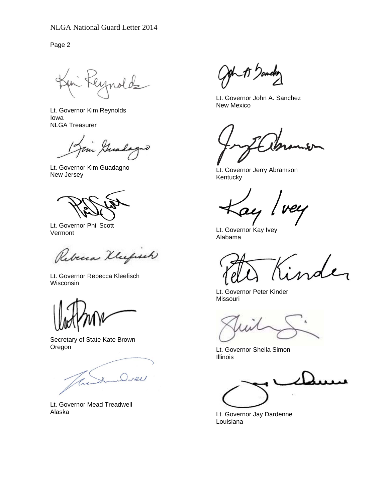Page 2

eynold

Lt. Governor Kim Reynolds Iowa NLGA Treasurer

Jim Guada s

Lt. Governor Kim Guadagno New Jersey

Lt. Governor Phil Scott Vermont

Rebena Klufsteh

Lt. Governor Rebecca Kleefisch Wisconsin

Secretary of State Kate Brown Oregon

I Diel

Lt. Governor Mead Treadwell Alaska

-15 )amchr

Lt. Governor John A. Sanchez New Mexico

Lt. Governor Jerry Abramson Kentucky

vey ay

Lt. Governor Kay Ivey Alabama

inder

Lt. Governor Peter Kinder Missouri

 Lt. Governor Sheila Simon Illinois

Lt. Governor Jay Dardenne Louisiana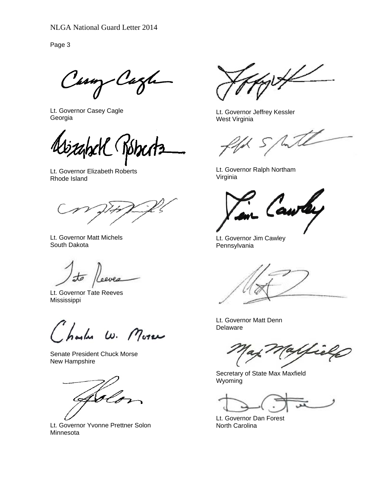Page 3

Casary Cagh

Lt. Governor Casey Cagle Georgia

Lt. Governor Elizabeth Roberts Rhode Island

Lt. Governor Matt Michels South Dakota

 $\frac{1}{2}$ Leeves

Lt. Governor Tate Reeves Mississippi

harles W. More

Senate President Chuck Morse New Hampshire

AS l

Lt. Governor Yvonne Prettner Solon Minnesota

 $\cancel{\psi}$ 

Lt. Governor Jeffrey Kessler West Virginia

with

Lt. Governor Ralph Northam Virginia

Lt. Governor Jim Cawley Pennsylvania

Lt. Governor Matt Denn Delaware

ielp

Secretary of State Max Maxfield Wyoming

Lt. Governor Dan Forest North Carolina